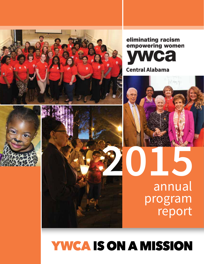

# eliminating racism empowering women Ca **Central Alabama**



annual

report



# **YWCA IS ON A MISSION**

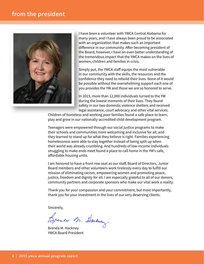# **from the president**



I have been a volunteer with YWCA Central Alabama for many years, and I have always been proud to be associated with an organization that makes such an important difference in our community. After becoming president of the Board, however, I have an even better understanding of the tremendous impact that the YWCA makes on the lives of women, children and families in crisis.

Simply put, the YWCA staff equips the most vulnerable in our community with the skills, the resources and the confidence they need to rebuild their lives. None of it would be possible without the overwhelming support each one of you provides the YW and those we are so honored to serve.

In 2015, more than 12,000 individuals turned to the YW during the lowest moments of their lives. They found safety in our two domestic violence shelters and received legal assistance, court advocacy and other vital services.

Children of homeless and working poor families found a safe place to learn, play and grow in our nationally-accredited child development program.

Teenagers were empowered through our social justice programs to make their schools and communities more welcoming and inclusive for all, and they learned to stand up for what they believe is right. Families experiencing homelessness were able to stay together instead of being split up when their world was already crumbling. And hundreds of low-income individuals struggling to make ends meet found a place to call home in the YW's safe, affordable housing units.

I am honored to have a front row seat as our staff, Board of Directors, Junior Board members and other volunteers work tirelessly every day to fulfill our mission of eliminating racism, empowering women and promoting peace, justice, freedom and dignity for all. I am especially grateful to all of our donors, community partners and corporate sponsors who make our vital work a reality.

Thank you for your compassion and your commitment, but most importantly, thank you for your investment in the lives of our very deserving clients.

Sincerely,

Brende M. Houbey

Brenda M. Hackney YWCA Board President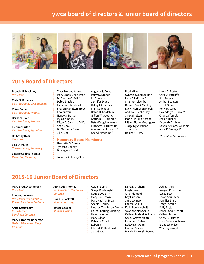# **ywca board of directors & junior board of directors**



Augusta S. Dowd Patsy D. Dreher Liz Edwards Jennifer Evans Kelley Fitzpatrick Fran Godchaux Debra H. Goldstein Gillian W. Goodrich Kathryn D. Harbert \* Betsy Bugg Holloway Elizabeth H. Hutchins Ann Gunter Johnson \* Sheryl Kimerling \*

# **2015 Board of Directors**

**Brenda M. Hackney** *President*

**Carla S. Roberson**  *Vice President, Development*

**Paige Daniel** *Vice President, Finance*

**Barbara Blair** *Vice President, Programs*

**Eleanor Griffin** *Vice President, Planning*

**Dr. Kathy Hoar** *Treasurer*

**Lisa Q. Miller** *Corresponding Secretary*

**Valerie Collins Thomas**  *Recording Secretary*

Tracy Morant Adams Mary Bradley Anderson Dr. Sharon C. Bell \* Debra Blaylock Lajuana T. Bradford Sharon Hamilton Broach Lisa Burton Nancy S. Burton Myla Calhoun Mittie D. Cannon, Ed.D. Sheri Cook Dr. Marquita Davis Jill V. Deer

### **Honorary Board Members:**

Henrietta S. Emack Tynesha Dansby Dr. Virginia Gauld

Yolanda Sullivan, CEO

Ricki Kline \* Cynthia G. Lamar-Hart Lynn F. LaRussa \* Shannon Lisenby Barrett Brock MacKay Lucy Thompson Marsh Andrea G. McCaskey \* Sireka Melton Maria Claudia Norena Lilliam Nunez-Rodriguez Judge Nyya Parson- Hudson Deidra K. Perry

### Laura G. Poston Carol J. Ratcliffe Kim Rogers Amber Scanlan Lisa J. Sharp Holly H. Stiles Gwendolyn C. Swain\* Chanda Temple Jackie Tucker Deborah F. White DeValerie Harry Williams Anne R. Yuengert\*

*\* Executive Committee*

# **2015-16 Junior Board of Directors**

**Mary Bradley Anderson** *President*

**Annemarie Axon**  *President Elect and KIDS Korner Luncheon Co-Chair*

**Anne Kettig Lary** *KIDS Korner Luncheon Co-Chair*

**Mary Elizabeth Roberson** *Walk a Mile in Her Shoes Co-Chair*

**Ann Cade Thomas** *Walk a Mile in Her Shoes Co-Chair*

**Dana L. Cockrell** *Member at Large*

**Taylor Cooper** *Mission Liaison*  Abigail Bains Sonya Boatwright Katie Boyd Britt Mary Cox Brown Mary Kathryn Bryant Sheetal Cordry Lindsey Tomlinson Druhan Katie Bee Marshall Laura Sherling Dunning Helen Eckinger Mary Edgar Rebecca Crawford Eubanks Ellen McCulley Faust Jeris Gaston

Lisha Li Graham Leigh Haver Amanda Held Key Hudson Jane Johnson Lauren Kallus Yawanna McDonald Callan Childs McWilliams Casey Graves Moore Elisa Held Nelson Kelley Norwood Lauren Pearson Mandy McKnight Powell

Ashley Rhea Morgan Robinson Lacey Scott Tanya Shunnara Jennifer Smith Tracy Sproule Kelly Taylor Jenni Parker Tetloff Callen Thistle Cheryl D. Turner Erica Sellers Williams Elizabeth Wilson Whitney Wright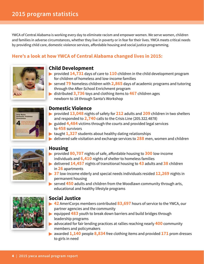YWCA of Central Alabama is working every day to eliminate racism and empower women. We serve women, children and families in adverse circumstances, whether they live in poverty or in fear for their lives. YWCA meets critical needs by providing child care, domestic violence services, affordable housing and social justice programming.

# **Here's a look at how YWCA of Central Alabama changed lives in 2015:**



# **Child Development**

- **provided 14,731** days of care to **110** children in the child development program for children of homeless and low-income families
- served **79** homeless children with **2,865** days of academic programs and tutoring through the After-School Enrichment program
- distributed **3,736** toys and clothing items to **467** children ages newborn to 18 through Santa's Workshop



# **Domestic Violence**

- provided **13,048** nights of safety for **212** adults and **209** children in two shelters and responded to **2,740** calls to the Crisis Line (205.322.4878)
- guided **4,484** victims through the courts and provided legal services to **458** survivors
- **taught 1,327** students about healthy dating relationships
- delivered safe visitation and exchange services to **288** men, women and children



## **Housing**

- provided **80,707** nights of safe, affordable housing to **300** low-income individuals and **6,410** nights of shelter to homeless families
- delivered **14,457** nights of transitional housing to **43** adults and **38** children in **26** apartments
- **37** low-income elderly and special needs individuals resided **12,269** nights in permanent housing
- **Served 450** adults and children from the Woodlawn community through arts, educational and healthy lifestyle programs



# **Social Justice**

- **42** AmeriCorps members contributed **83,697** hours of service to the YWCA, our partner agencies and the community
- **Exampled 483** youth to break down barriers and build bridges through leadership programs
- advocated for fair lending practices at rallies reaching nearly **400** community members and policymakers
- awarded **1,140** people **8,834** free clothing items and provided **171** prom dresses to girls in need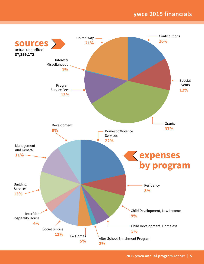# **ywca 2015 financials**

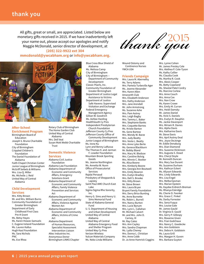All gifts, great or small, are appreciated. Listed below are monetary gifts received in 2015. If we have inadvertently left your name out, please accept our apologies and notify Maggie McDonald, senior director of development, at **(205) 322-9922 ext 304**



### **After-School Enrichment Program** Birmingham Board of Education Joseph S. Bruno Charitable

Foundation City of Birmingham Crippled Children's Foundation The Daniel Foundation of Alabama Faith Chapel Christian Center Junior League of Birmingham McGriff Seibels & Williams Mrs. Lisa Q. Miller Ms. Michelle J. Reid United Way of Central Alabama

### **Child Development Services**

Mrs. Kitty Brown Mr. and Mrs. William Burns Community Foundation of Greater Birmingham Department of Early Childhood First Class Pre-K Grant Ms. Betsy Hayes Ms. Karen Howze-Samuels C. Eugene Ireland Foundation Ms. Lauren Kallus Hugh Kaul Foundation Ms. Sara Nichols PNC Ms. Eve Rhea

Rotary Club of Birmingham The Home Garden Club United Way of Central Alabama Mrs. Dell Veal Susan Mott Webb Charitable Trust

### **Domestic Violence**

### **Services**

Alabama Civil Justice Foundation Alabama Law Foundation Alabama Department of Economic and Community Affairs, Emergency Solutions Grant Alabama Department of Economic and Community Affairs, Family Violence Prevention and Services Act Alabama Department of Economic and Community Affairs, Violence Against Women Act Alabama Department of Economic and Community Affairs, Victims of Crime Act Alabama Department of Human Resources, Specialist Assessment Intervention Liaison Altec Industries Inc.

Anonymous Donor Birmingham LINKS Chapter

Blue Cross Blue Shield of Alabama Ms. Melissa Camp City of Birmingham City of Birmingham -- Department of Community Development Classic Pearls, Inc. Community Foundation of Greater Birmingham Department of Justice Legal Assistance to Victims Department of Justice Safe Havens: Supervised Visitation and Exchange Federal Emergency Management Agency Gillian W. Goodrich Ms. Ashlee Harding HealthSouth Cy Pres Independent Presbyterian Church Foundation Jefferson County Cy Pres Jefferson County Office of Community Development Junior League of Birmingham Ms. Irene Ku Lynn and Benny LaRussa The Thomas H. and Jarman F. Lowder Foundation Mountain Brook Sporting Goods Ms. Jeanne Northington Ms. Annetta W. Nunn Office of Prosecutorial Services Rajdai Persaud Presbytery of Sheppards & Lapsley Saint Paul AME Church East Lake Sigma Sigma Rho Sorority, Inc. Henry G. Sims and Henry U. Sims Memorial Fund State of Alabama General Fund U. S. Department of Housing and Urban Development United Way of Central Alabama United Way of Central Alabama Emergency Food and Shelter Program United Way Cy Pres Verizon Wireless Vulcan Materials Company Ms. Neko Linda Williams



Wound Ostomy and Continence Nurses YWCA USA

### **Friends Campaign**

Mrs. Laura M. Abernethy Ms. Terry Adams Mrs. Pamela Turbeville Ager Ms. Jeanne Alexander Mrs. Karen Allen Amaranth Club Mrs. Elizabeth Anderson Mrs. Kathy Anderson Mrs. Jane Arendall Mr. John Armstrong Ms. Suzanne Ashe Mrs. Pam Autrey Mrs. Leigh Bagby Mrs. Tammy L. Baker Mrs. Stephanie Banks Mrs. Coquette Barnes Ms. Kristie Barton Ms. Gene Bartow Mrs. Wendy W. Barze Mrs. Judy Beatty Mrs. Vesta L. Beatty Mrs. Anne Lyles Berte Ms. Geneva Blackburn Mr. Bobby Bland Mrs. Mary M. Bledsoe Mrs. Caroline Bolvig Mrs. Minnie C. Booker Ms. Alisa Boone Mrs. Kimberly Boone Mrs. Georgia Ann Boutwell Mrs. Emily Bowron Mrs. Evelyn Bradley Mrs. Dell S. Brooke Mrs. Kitty Brown Mr. Steve Brown Mrs. Laura Bryan Bryant Family Foundation Mrs. Derry Brice Bunting Ms. Anne Burnette Ms. Robin L. Burrell Mrs. Nancy Burton Mrs. Lucie Bynum Mrs. Lynn L. Callahan Mr. Michael Calvert Mr. and Mrs. John D. Carney, III Mr. Ray Cates Mrs. Ann Cayley Mrs. Sandra Chapman Ms. Lydia Cheney Mrs. Donna L. Christian Mrs. Anne Cobb Dr. Jo Anne Hamrick Coggins Mrs. Lynne Cohen Mr. James Presley Cole Mrs. Alethea P. Cole-Tyson Ms. Kathy Collier Ms. Claudia Cook Ms. Martha R. Cook Mrs. Alexis Cooper Ms. Betty Copeland Ms. Sheetal Patel Cordry Ms. Marcine Corlew Mrs. Anne Couch Mrs. Anna Cox Mrs. Nan Crow Ms. Karen Crowe Mrs. Emily M. Curran Mrs. Heidi Damsky Mr. James Daniel Ms. Vicki S. Daniels Mrs. Evelyn R. Dauphin Ms. Jackie Davenport Mrs. Miriam R. Davies Mrs. Alpha Davis Mrs. Katharine Davis Mr. Steve Davis Mrs. April Autrey Deal Mrs. Joyce DeJonge Mr. Eddie Denaburg Mrs. Dian Diamond Mrs. Suzanne Dickinson Mrs. Augusta S. Dowd Mrs. Cheryl Doyle Mr. Kenneth Duncan Mrs. Mary Sue Durant Ms. Suzanne Durham Mrs. Kathryn Eckert Ms. Allyson Edwards Mrs. Lindy Edwards Mrs. Lisa Engel Mrs. Melba Epsman Mrs. Marian Epstein Ms. Kaydee Erdreich-Breman Ms. Rhanya Eskridge Ms. Cherie D. Feenker Mrs. Grace C. Finkel Ms. Darby Forrester Mrs. Sena Fuqua Mrs. Louise Gale Mr. James Gauld Dr. Virginia D. Gauld Mrs. Gerry P. Gillespy Mrs. Roxanne Given Mrs. Fran Godchaux Mrs. Nancy C. Goedecke Mrs. Ann Goldstein Mrs. Debra H. Goldstein Ms. Laura Grill Mrs. Maegan H. Guven

Mrs. Barbara Guyton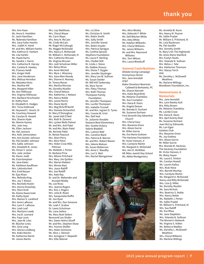Mrs. Ann Haas Ms. Anna G. Hamblen Dr. Jacki Hamilton Ms. Malenda Hamilton Mrs. Sara Fuller Hamlin Mrs. Judith H. Hand Mr. and Mrs. William Hanlin Mrs. Kathryn D. Harbert Ms. Lila Hardin Ms. Hazel Harris Ms. Sandra J. Harris Mrs. Catherine R. Harvey Mrs. Carleta R. Hawley Ms. Frances Heidt Mrs. Ginger Held Mrs. Jane Henderson Mrs. Melissa Herndon Ms. Walzatta Hicks Mrs. Martha Hill Mrs. Margaret Hiller Ms. Ann Hillhouse Mrs. Virginia Hillhouse Mrs. Barbara Hirschowitz Dr. Kathy Hoar Dr. Elizabeth H. Hodges Mrs. Tricia Holbrook Mr. Heyward C. Hosch, III Ms. Courtney Howard Ms. Carolyn B. Howell Mrs. Sharon Hyde Ms. Mamie Hymes Mrs. Jean Ivey Ms. Ellen Jackson Ms. Vail Jeavons Mrs. Kelli Jetmundsen Mrs. Ann Gunter Johnson Ms. Pat Sandlin Johnson Mrs. Sallie Johnson Mrs. Elizabeth R. Jones Ms. Vivian Y. Jones Mrs. Julie Jordan Ms. Karen Judd Ms. Esta Kamplain Ms. Jane Kates Ms. Kathleen Kauffman Mrs. LaVonda Keel Mrs. Enid Keyser Mr. Ejaz Khan Mrs. Melinda King Mrs. Joy T. Kloess Mrs. Rochelle Koslin Mrs. Donna Kraselsky Mrs. Sheri Krell Ms. Elaine Kwarcinski Ms. Kathy Kyzer Mrs. Marion S. Lankford Mrs. Anne LaRussa Mrs. Lynn F. LaRussa Mrs. Leah Leaf Mrs. Marilynn Leeds Mrs. Ina B. Leonard Mrs. Faye Levin Mrs. Jean W. Liles Mr. Blucher Lines Mrs. Gina Long Mrs. Gloria Lundberg Mrs. Koko Mackin Ms. Katherine Marsh Mr. James Martin

Mrs. Lizy Matthews Mrs. Cheryl Mayer Ms. Carin Mayo Mrs. Amy N. McCain Ms. Cindy McCain Mr. Roger McCullough Ms. Maggie McDonald Mrs. Nancy A. McDonald Mr. William C. McDonald, IV Mrs. Catherine McLean Ms. Virginia McLean Mrs. Judi Schulman Miller Mrs. Betsy Miree Mrs. Anne Mitchell Mrs. Myra J. Mizerany Mrs. Sara Allen Moody Mrs. Dianne A. Mooney Dr. Teresa Moran Mrs. Martha Morrow Ms. Dorothy Mueller Mrs. Cheryl Nelson Mrs. Katherine J. Nielsen Mrs. Nancy Noble Mrs. Leone Norris Mrs. Diane North Mrs. Meg McGriff North Mrs. Pamela Ochsenhirt Dr. Mary O'Donoghue Ms. Janet Hall O'Neil Mrs. Ruth B. Ozment Mrs. Lynlee Wells Palmer Mr. and Mrs. Anil Patel Mr. and Mrs. Bipin Patel Ms. Nichole Patel Dr. Renee Peacock Mrs. Sheri Perry Mrs. Alice Petro Mrs. Helen Crow Mills Pittman Ms. Maibeth J. Porter Dr. Barbara Price Mrs. Allison Pritchard Mrs. Mary Jim Quillen Mrs. Marian Radwin Mrs. Minnie Rast Mrs. Joyce Ratliff Mrs. Sue Ratliff Mrs. Kate Ray Dr. and Dr. Mahender and Arunjoti Reddy Ms. Lee Rives Mrs. Jeanne Rogers Mrs. Kim J. Rogers Mrs. Julia B. Rowe Mrs. Sanqunette Ruffin Mr. Jon Ryan Mr. and Mrs. Dan Sansone Ms. Leah F. Scalise Dr. Lewis Schulman Ms. Lana Sellers Ms. Mary Noel Sellers Reverend Lee Shafer Mrs. Dawn Helms Sharff Mr. and Mrs. Stephen Shaw Mrs. Yvonne Shelfer Mrs. Helen Simmons Ms. Alice J. Skinner Mrs. Armigene T. Skipwith Mrs. Ellie Sklenar

Mrs. Liz Slive Ms. Christian N. Smith Mrs. Robin Smith Mrs. Sally Smith Mrs. Jennifer Sneed Mrs. Robin Snyder Mrs. Patricia Sprague Ms. Cynthia Sproull Stephens Foundation Ms. Laura P. Sterling Mrs. Chollet Still Dr. Linda J. Stone Ms. Debbie Strauss Mrs. Eloise T. Stygler Mrs. Jennifer Styslinger Mrs. Mary Lee W. Sullivan Ms. Susan Swider Mr. Will Hill Tankersley Ms. Myra Tarver Mrs. Patsy Thomas Mrs. Ruth Thomas Thompson Family Foundation Ms. Jennifer Thompson Mrs. Lucille Thompson Mrs. Isabella Trussell Mr. and Mrs. Ingram D. Tynes Mrs. Connie W. Urist Mrs. Dell Veal Dr. Julianne Venable Vestavia West Elementary Mrs. Scottie Vickery Valerie Waddell Mrs. LuAnne Wall Mrs. Caroline Ward Mrs. Patricia B. Warren Mr. and Mrs. Robert Wason Mrs. Valerie Watson Ms. Susan Watterson Mrs. Anne C. Waudby Mrs. Lori S. Weil Mrs. Rachel Weingartner

Mrs. Alice Wesley Mrs. Deborah F. White Ms. Dell Witcher White Mrs. Kitty White Ms. Katelyn Wilbanks Mrs. Cheryl Williams Ms. Janice Williams Mr. and Mrs. Raymond Williams Mrs. Terri Wilson Mrs. Laura Woodruff

### **General Contributions** Allstate Giving Campaign

Anonymous Donor Mrs. Jane Arendall AT&T Baker Donelson Bearman Caldwell & Berkowitz, PC Ms. Sharon Barnett Mrs. Katie Boyd Britt Ms. Melanie Chambliss Ms. Sue Crumpton Mrs. Dana B. Davis Ms. Angela Deaver Ms. Brenda D. Durham Ms. Suzanne Durham First Seventh Day Adventist Church Mrs. Cheryl Gary Mrs. Roxanne Given Mrs. Alison Gorrie Mr. Miller Gorrie Ms. Eve Marie Graham The Hackney Foundation Mr. Victor Hanson, II Mrs. Carolyne Martin Ms. Margaret A. McDonald Mrs. Ann D. McMillan NE Miles Jewish Day School Ms. Abbie Montgomery



Ms. Annetta W. Nunn Mrs. Nancy M. Poynor Ms. Sallie Pradat Mr. William S. Pritchard, III Ms. Lola Raulerson Ms. Pat Sandlin Mrs. Dorothy Smith St. Mary's On The Highlands Ms. Anne-Marie Stanford Mrs. Evelyn Stutts Mrs. Yolanda N. Sullivan Mrs. Melva J. Tate Mrs. Katherine Thomson Mrs. Stacey Torch VHA Ms. Dorothy L. McDowell Weathers Ms. Marlene Willings Woodlawn Foundation, Inc.

### **Honorariums & Memorials**

Mrs. Jane Arendall Mrs. Lynn Baxley Ault Mrs. Kitty Brown Ms. Melanie Chambliss Ms. Lavida Cruse Mrs. Dana B. Davis Mrs. April Autrey Deal Ms. Suzanne Durham Joan McCoy Edmonds Ms. Lori Egea Gaieties Club Mrs. Roxanne Given Ms. Joy Godsey Mrs. Alison Gorrie Mr. Miller Gorrie Mrs. Brenda M. Hackney The Hackney Foundation Mr. Victor Hanson, II Ms. Betsy Hayes Ms. Laura E. Hinton Ms. Carolyn Howell Ms. Lauren Kallus Mrs. Ricki Kline Mrs. Barrett MacKay Mrs. Carolyne Martin Ms. Margaret A. McDonald Nancy and Billy McDonald Mrs. Lisa Q. Miller Ms. Dorothy Mueller Ms. Sara Nichols Mrs. Beatrice S. Noble Mrs. Nancy Noble Ms. Maibeth J. Porter Ms. Sallie Pradat Mr. William S. Pritchard, III Mrs. Sue Ratliff Ms. Eve Rhea Ms. Jane Stapleton Mrs. Yolanda N. Sullivan The Women's Network Ms. Virginia S. Volker Ms. Rebecca Wadley Ms. Dorothy L. McDowell **Weathers** Mrs. Cheryl Williams Ms. Marlene Willings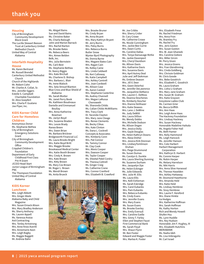### **Housing**

City of Birmingham Community Development Block Grant The Lucille Stewart Beeson Trust at Canterbury United Methodist Church United Way of Central Alabama

### **Interfaith Hospitality House**

Ms. Karen Bertrand Mr. Russell Brendel Canterbury United Methodist Church Church of the Highlands Mr. Robert Cohn Mr. Charles A. Collat, Sr. Mrs. Jennifer Eggers Estelle S. Campbell Charitable Foundation Dr. Alice Goepfert Mrs. Charla P. Gualano Joe Piper, Inc.

### **KIDS Korner Child Care for Homeless Children**

Anonymous Donor Ms. Stephanie Bethea City of Birmingham Emergency Solutions Grant City of Birmingham Community Development **Office** Crippled Children's Foundation Department of Early Childhood First Class Pre-K Grant JCCEO Head Start Junior League of Birmingham PNC The Thompson Foundation United Way of Central Alabama

### **KIDS Korner**

### **Luncheon**

Mrs. Leigh Abbott Mrs. Ginger Abele Alabama Baby and Child Magazine Mrs. Susan Emack Alison Mrs. Mary Bradley Anderson Ms. Sherry Anthony Ms. Lauren Appell Ms. Vanessa Araiza Ard Contracting Mrs. Tenley Armstrong Mrs. Anne Knox Averitt Mrs. Annemarie Axon Mrs. Leigh Bagby Ms. Maggie Baggett Mr. Andrew Bahn

Ms. Abigail Bains Sue and David Bains Ms. Christine Baker Ms. Charla Balough John and Marion Barrack Mrs. Rachel Barton Ms. Brooke Bates Ms. Rebecca Beers Mrs. Aimee Belden Belk, Inc. Mrs. Julia Bernstein Ms. Carli Best Ms. Stephanie Bethea Dr. Nancy Biggio Mrs. Kate Birchall Ms. Charlene D. Bishop Mrs. Barbara L. Blair Ms. Irene Blalock Mrs. Sela Stroud Blanton Blue Cross and Blue Shield of Alabama Ms. Sarah Blutter Ms. Janet Perry Book Ms. Kathleen Boudreaux Danielle and Emmanuel Boullay Mrs. Anna-Katherine Bowman Ms. Jaclyn Boyd Mrs. Suzanne Braden Mrs. Lessie Brady Ranea Breen Mrs. Dawn Brian Ms. Barbara Brickner Bridgeworth Financial LLC Ms. Laura Brooks Bright Mrs. Katie Boyd Britt Mrs. Maggie Brooke Brookwood Medical Center Mrs. Katie Booth Brower Mrs. Cindy K. Brown Mrs. Kate Brown Mrs. Kitty Brown Ms. Mary Cox Brown Mr. Roger L. Brown Ms. Wendi Brown

Ms. Anita Brueck

Mrs. Brooke Bruner Ms. Cindy Bryan Ms. Anna Bryant Mrs. Mary Kathryn Bryant Mr. Jerry Burns Mrs. Patsy Burns Mrs. Rebecca Burns Butler Snow Wynter Byrd Photography Ms. Donna Byrne Mrs. Megann Bates Cain Mrs. Ragan Cain Ms. Kelley Caine Mrs. Linda Caldwell Ms. Keri Calloway Ms. Katie Campbell Mrs. Ashley Cantrell Mrs. Joan Cardwell Ms. Allison Case Ms. Aaron Casteel Mrs. Stephanie Casterline Ms. Audrey Channell Mrs. Megan LaRussa Chenoweth Ms. Sharonda Childs Ms. Callan Childs McWilliams Mrs. Tracy Clark Dr. Yaconda Clayton Mrs. Mary Jane Cleage Mrs. Renee Clements Ms. Becky Clikas Mrs. Kate Clinton Ms. Dana L. Cockrell Concepts & Associates Mrs. Kimberly Conn Mrs. Pat Connor Ms. Tammy Connor Mr. Clay Cook Mrs. Alexis Cooper Mrs. Dawson Cooper Ms. Taylor Cooper Ms. Sheetal Patel Cordry Ms. Theresa Cottrell Ms. Ginger Craig Ms. Catherine Crane Mrs. Connor Cranford

Mrs. Elizabeth B. Crawford



Mrs. Sherry Crider Dr. Cary Crowe Ms. Catherine Crowe Ms. Nicole Cunningham Mrs. Jackie Bee Currie Mrs. Dawn Curtis Ms. Caroline Dallas Mrs. Tonya Dansavage McKie Ms. Jackie Davenport Mrs. Cheryl Davidson Ms. Allison Davis Mrs. Katharine Davis Mrs. Susanna Davis Mrs. April Autrey Deal Julie and Jeff DeArman Ms. Embree Deason Mrs. Jill V. Deer Mrs. Gwen Deierhoi Ms. Jennifer DeLawrence Ms. Jacqueline DeMarco Mrs. Lauren C. DeMoss Ms. Deanna Deschenes Ms. Kimberly Descher Mrs. Dianne DeShazer Mrs. Katie Dewees Mrs. Lane J. DeWine Ms. Judy DeWitt Mrs. Laura Dillion Ms. Wendy Dobbs Mrs. Michelle Dodson Ms. Allison Dogan Mrs. Jessica Dolly Mrs. Gayle Douglas Ms. Helen Kathryn Downs Mrs. Alexa Dreher Mrs. Jessica Kirk Drennan Mrs. LindseyTomlinson Druhan Mrs. Paige Drummond Ms. Susan Dumas Ms. Carolyn G. Dunkle Mrs. Laura Sherling Dunning Ms. Suzanne Durham Mrs. Jacquelyn Dye Ms. Helen Eckinger Ms. Julie Edwards Mrs. Julie M. Ellis Ms. Laura Ellis Mrs. Kelli Eshleman Ms. Sarah Eskridge Mrs. Carol Eubanks Mrs. Pam Eubanks Mrs. Rebecca Eubanks Ms. Cindy Evans Mrs. Jennifer Evans Mrs. Mary Evans Ms. Susan Evans Ms. Brooke Everley Mrs. Emily Eversull Mrs. Caroline Ezelle Mrs. Ginny T. Farley Ellen and Stephen Faust First Commercial Bank Ms. Sarah Floyd Mrs. Shaun Flynn Mr. Ben Foster Edward and Maggie Foster Mrs. Marlea K. Foster

Mr. Joe Cribbs

Ms. Rachel Friedman Mrs. Anna Fron Ms. Brantley Fry Ms. Rachel Fry Mrs. Jeris Gaston Mrs. Susan Gaston Mrs. W. Jean Ghareeb Mrs. Caroline Gidiere Mrs. Miller Girvin Mr. Perry Given Mrs. Jessica Givens Mrs. Fran Glendinning Mrs. Cinda Goldberg Mrs. Chrissie Goldman Mr. Chris Goode Mrs. Bebe Goodrich Mrs. Elizabeth C. Goodrich Ms. Laura Graham Mrs. Lisha Li Graham Mrs. Mary Jane Graham Mrs. Susan W. Graham Mrs. Katie Grayson Greystone Ladies Club Ms. Carmen Grier Ms. Becca Griffith Mrs. Ann Haas Mrs. Leigh Anne Haas The Hackney Foundation Mrs. Lindsay Hackney Mrs. Susan Hackney Honorable Madeline Haikala Ms. Angela Fisher Hall Ms. Beth Hamer Mrs. Kelly Hammond Ms. Leigh Hancock Ms. Jennifer Hanson Mrs. Cole Harbert Harbert Management **Corporation** Mrs. Kathryn D. Harbert Ms. Connie Harper Ms. Robin Harper Ms. Melany Harrelson Ms. Niki Harris Mrs. Anna Slive Harwood Ms. Therese Haselden Mrs. Ashley Hattaway Mr. Desmond Hawthorne Mrs. Amanda Held Mrs. Katie Held Ms. Lindsay Hembree Ms. Sissy Hembree Mrs. Laurie F. Hereford Mrs. Diane Hinkle Ira Hodges Mrs. Katherine Hoffman Mrs. Sarah Hoffman Ms. Kathy Horton Rich and Wendy Howell Shufen Hsu Ms. Lynn Huddle Mrs. Key Hudson Honorable Jim F. Hughey, III Mrs. Elizabeth Hutchins IBERIABANK Ms. Nadia Ideh Ms. Lisa Imbragulio Mr. Carl Israel

Mrs. Elizabeth Frese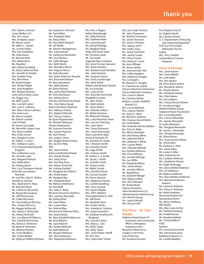Mrs. Valerie Johnson Jones Walker LLP Mrs. Ann Jones Mrs. Kimberly Jones Ms. Renee Jones Mr. Albert L. Jordan Ms. Lauren Kallus Mrs. Kari Kampakis Ms. Hala Kassis Mr. Barnett Keitt Mrs. Dottie Kent Ms. Meg Kerr Mrs. Katherine Kettig Ms. Mary Catherine Kew Ms. Jennifer B. Kimble Mrs. Heather King Mrs. Ricki Kline Ms. Diane Knight Mrs. Nicole Knight Mrs. Vicki Knighten Mrs. Barbara Kossow John and Lindsay Lacey Ms. Peggy Lacy Ms. Blair Lanier Mrs. Lou Bell Lanier Mrs. Lynn F. LaRussa Mrs. Mary Carson LaRussa Mrs. Anne Lary Ms. Alison Lassiter Mr. Patrick Lavette Leaf 'N Petal Mr. David LeCompte Ms. Meredith Jowers Lees Mrs. Mary Lembke Mrs. Emily Levine Mrs. Margaret Lichty Ms. Debra J. Linton Mrs. Katharyn Lowry LPL Financial Matching Gift Program Mrs. Catherine Lucas Ms. Jennifer Lyles Mrs. Margaret Manuel Mrs. Robin Mark Ms. Hayley Marsh Mrs. Lucy Thompson Marsh Katie Bee and Seaton Marshall Mr. and Mrs. Alan D. Mathis Mauldin & Jenkins Mrs. Stephanie H. Mays Mr. Rob McCallum Ms. Catherine McCarthy Mr. Randy McClanahan Mr. Jeff McCormack Ms. Callie McCraney Ms. Sara-Kathryn McCrary Mrs. Jesalyn McCurry Ms. Maggie McDonald Mrs. Nancy A. McDonald Ms. Stacey McElrath Mrs. Lisa Marie McGilberry Mrs. Danielle McInerney Ms. Sheila O. McKenna Ms. Betty B. McKewen Ms. Melanie McNary Ms. Treva Medbery Mrs. Sireka Melton Ms. Kathryn Hefferly Michael

Ms. Carol Miles Mrs. Elizabeth Miller Ms. Patsy Miller Ms. Mary Beth Minyard Ms. Jill Moller Ms. Eleanor Montgomery Mrs. Casey Moore Ms. Catherine Moraitakis Mrs. Sue Moreno Ms. Callie Morgan Mrs. Beth Morris Mrs. Mariellen Morris Mrs. Virginia Morris Ms. Kelly Morrison Mrs. Grace Robinson Murphy Mrs. Elisa Held Nelson Ms. Mary Neumann Mrs. Sybil Newton Ms. Betsy Nichols Mrs. Jeane Marie Nichols Mr. Chris Nicholson Mrs. Ashley Norris Charles and Kelley Norwood Mrs. Tyler Bates Novak Noah and Alison Oliphant Mrs. Kathryn O'Neal Mrs. Angela O'Rourke Mrs. Tamsyn Osborn Mr. Ryan Pappanastos Ms. Brooke Patterson Shawn Patzkowsky Ms. Suzanne Paulson Mrs. Lauren Pearson Ms. Ann Penton Mrs. Leigh D. Perry Mrs. Bragan Dreher Petrey Ms. Lee Ann Petty PNC Mrs. Julie Portera Katie and Michael Powell Mrs. Mandy Powell Mrs. Emily Price Mrs. Erin May Price Mrs. Allison Pritchard Ms. Lindsay Puckett Ms. Margaret Ann Pyburn Mrs. Vickie Rader Ms. Margaret Ray Mrs. Elizabeth Read Ms. Rebecca Redmond Ms. Kim Reiff Mrs. Sally S. Reilly Revenue Discovery Systems Mrs. Caroline Reynolds Ms. Ashley Rhea Ms. Claire Rhea Mrs. Lauren Rice Ms. Felisha Riley Richard and Shannon Riley Mrs. Audra Riotte Ms. Mary Elizabeth Roberson Ms. Amy Roberts Ms. Jane Roberts Mrs. Ashley Robinett Ms. Kelli Robinson Ms. Morgan Robinson Mrs. Sheri Robinson Mrs. Stephanie Robinson

Ms. Suzanne S. Michael

Mrs. Kim J. Rogers Kellye Rohrabaugh Ms. Libby Romano Mrs. Kathleen Roth Mrs. Lacey Russell Ms. Ginny Rutledge Ms. Meaghan Ryan Andy and Susan Saab Ms. Christina Saab Mr. Tom Saab Saginaw Pipe Company Mrs. Mary Forman Samuels Mrs. Karen Sanders Mrs. Barbara Scott Sandner Mrs. Julie Sandner Mrs. Suzanne Saxon Mrs. Emily Scarbrough Mrs. Kelly Schell Robert and Barbara Schuler Ms. Ivy Schuster Mrs. Lacey Scott Mrs. Mary Bernard Scott Elizabeth Scribner Mr. John Seeley Mrs. Beth Seibels Mr. Jason Sellers Mrs. Melinda Sellers Ms. Mollie Seymour Ms. Rhiannon Sharpe Mrs. Leila Mountain Shaw Mrs. Lou Ann Sherling Mrs. Joan Short Mrs. Tanya Shunnara Mrs. Janet Shunnarah Steve and Anne Siple Sirote & Permutt, PC Ms. Christian N. Smith Mrs. Christine Smith Mrs. Dorothy Smith Ms. Gage Smith Mrs. Graham Smith Mr. Hatton C. V. Smith Mr. Jacob L. Smith Ms. Jennifer Smith Ms. Tempe Smith Mr. Walter Smola Mrs. Jennifer Sneed Ms. Carmen Snyder Ms. Karen Spencer Mrs. Stephanie Spinks Ms. Camille Spratling Mrs. Tracy Sproule Mrs. Karon Staples Mrs. Jill P. Stephen Honorable Nicole G. Still Mr. Jeff Stone Ms. Elizabeth Storr Mrs. Evelyn Stutts Mrs. Yolanda N. Sullivan Mrs. Susan Summers Ms. Sandrah Swetkovich-Berglund Mrs. Jennifer Sykes Mrs. Melva J. Tate Ms. Kellie Taylor Mrs. Kelly Taylor Mrs. Jenni Parker Tetloff Ms. Kim Tew Mrs. Callen Bair Thistle

Mrs. Ann Cade Thomas Mr. John Thompson Ms. Martha Thompson Ms. Sarah Thomson Ms. Jessica Thuston Mrs. Stacey Torch Mrs. Kathy Tracy Ms. Jamie Trammell Mrs. Jackie Tucker Ms. Cheryl Turner Mrs. Kelley M. Tynes Ms. Amy Uffinger Ms. Karyn Uptain Ms. Jenevora Van Pelt Mrs. Libba Vaughan Mrs. Katherine Vaughn Ms. Liz Vaughn Ms. Beverly S. Virciglio Dr. Cameron M. Vowell Vulcan Industrial Contractors Vulcan Materials Company Mrs. Carol H. Waites Ms. Caroline Walker Wallace, Jordan, Ratliff & Brandt LLC Mrs. Carrie Walthall Mrs. Clayton Walton Ms. Sylvia C. Ware Ms. Rachel E. Watkins Mrs. Frances Harrell Watts Ms. Cindi Weeks Mrs. Amanda Starnes Welden Ms. Tricia A. Wells Ms. Allison Westlake Mrs. Ann Bailey White Ms. Catherine White Mrs. Deborah F. White Mrs. Lauren White Mrs. Yulonda Wilhoite Ms. Earlisha Williams Mrs. Erica Williams Ms. Jennifer Willings Ms. Luci Willis Ms. Elizabeth Wilson Mrs. Jamie Wilson Ms. Jourdan Wilson Ms. Meg Wilson Ms. Elizabeth Winger Mrs. Rebecca Wise Mrs. Alice Womack Ms. Krista Wood Talene Yacoubian Yates Development LLC YellowHammer Media Group Mrs. Rachel Young Ms. Laurie Zelinski Mrs. DeLynn Zell

### **Our Place – St. Clair Shelter**

Alabama Department of Economic and Community Affairs, Emergency Solutions Grant Benjamin Moore & Co. Chapel in the Pines City of Pell City Ms. Suzanne Durham

First Baptist Church Dr. Virginia Gauld Ms. Carolyn Howell U. S. Department of Housing and Urban Development Pell City First United Methodist Church Publix Mrs. Terry Sandlin United Way of Central Alabama

### **Purse & Passion**

Mrs. Janet Aarons Mrs. Susie Abbott Ms. Leah Abele Mrs. Ann Adams Ms. Anne-Marie Adams Mrs. Brenda B. Adams Mr. Charlie Adams Mrs. Elizabeth Adams Mrs. Patti Adams Ms. Terry Adams Mrs. Tracey Morant Adams Dr. Jarralynne Agee Alabama Media Group Alabama Power Foundation Mrs. Carol Alexander Mrs. Connie Alexander Ms. Jeanne Alexander Dr. Lydia Alexander Mrs. Margaret Alexander Ms. Susan L. Alexander Mrs. Temple Alexander Ms. Olivia Alison Mrs. Susan Emack Alison Ms. Annie Allen Ms. Barbara S. Allen Mrs. Karen Allen Ms. Leslie G. Allen Altec Industries Inc Ms. Carleton Ambrose Mrs. Stephanie Amuso Ms. Angie Anderegg Mrs. Gloria Webb Anderson Mrs. Lili Anderson Ms. Malena Anderson Mrs. Mary Bradley Anderson Mrs. Marcella Anderson-Roberts Ms. Leeanne Andrews Mrs. Patsy H. Andrews Ms. Robin Andrews Reverend Godwin Ani Anonymous Donor Ms. Sherry Anthony ARC Realty Mrs. Mary Jean Archer Ms. Pamela Arenberg Ms. Freddi Aronov Ms. Maretta Ashford Ms. Trinita Ashford AT&T AutoTec Mrs. Anne Knox Averitt Mrs. Annemarie Axon Baddley & Mauro LLC Ms. Lorelle Baddley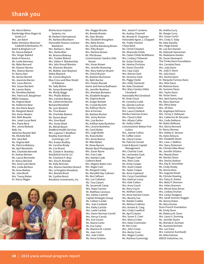Ms. Alecia Bahna Bainbridge Mims Rogers & Smith LLP Mrs. Jan Baird Baker Donelson Bearman Caldwell & Berkowitz, PC Balch & Bingham LLP Ms. Donna Ballard Mrs. Ginger Ballard Bank of America Ms. Leslie Barineau Ms. Bebe Barnard Ms. Eleanor Barnes Mrs. Sharon Barnes Dr. Nancy Barr Ms. Denise Barrett Ms. Jeannnie Barron Mrs. Laura Barron Mrs. Susan Barstein Ms. Lauren Bates Ms. Dorothea Batiste Mrs. Patricia B. Baughman BBVA Compass Ms. Virginia Beall Ms. Katherine Bear Ms. Ann Marie Beard Ms. Margaret Beard Mrs. Karen Beaton Mrs. Beth Beaube Mrs. Janet Lucas Beck Mrs. Paula Beck Mrs. Jenna Bedsole Belk, Inc. Adrienne Royster Bell Ms. Michelle Bell Mrs. Sara Bell Ms. Virginia Bell Ms. Patricia Bellamy Ms. April Benetollo Mrs. Charlotte Bennett Dr. Andrea Benton Ms. Laurie Berenotto Dr. Nancy Berland Mrs. Anne Lyles Berte Mrs. Linda Berthon Ms. Anne Bethea Ms. Julia Bevill Mrs. Tracey Bielen Dr. Nancy Biggio

BioHorizons Implant Systems, Inc. BL Harbert International Ms. Barbara Blackburn Honorable Sharon Lovelace Blackburn Mrs. Barbara L. Blair Mrs. Sheila Blair Ms. Brianna Blakney Mrs. Tondee Blalock Mrs. Dalton F. Blankenship Mrs. Sela Stroud Blanton Ms. Shannon Blanton Ms. Bobbie Jean Blaylock Debra Blaylock Ms. Connie Blaylock Blue Cross and Blue Shield of Alabama Ms. Sally Bluhm Ms. Sonya Boatwright Ms. Mindy Boggs Mrs. Phyllis Bolena Mrs. Caroline Bolvig Ms. Catherine Bonner Borland Benefield Ms. Lynn Bostock Ms. Tina Bowen Ms. Charlotte Bowers Ms. Donna Boyd Mrs. Gina Boyd Mrs. Susan Boyd Ms. Wendi Boyen Bradford Health Services Mrs. Lajuana T. Bradford Bradley Arant Boult Cummings, LLP Mrs. Evelyn Bradley Ms. Caroline Brady Ms. Lisa Brand Ms. Clotele H. Brantley Brasfield & Gorrie LLC Ms. Charlena H. Bray Mrs. Elna R. Brendel Ms. Kelly Brennan Mrs. Sharon Hamilton Broach Mrs. LeTangelon Broadnax Mrs. Brenda Brock Ms. Cynthia Brock Brookline Investments, Inc.



Mrs. Maggie Brooke Ms. Brenda Brooks Ms. Staci Brooks Mrs. Elizabeth Broughton Mrs. Betty Brown Ms. Cynthia Ransburg Brown Mrs. Kitty Brown Mrs. Marlene Brown Mr. Phil Brown Commissioner Sandra Little Brown Mrs. Vivian Brown Mrs. Jennifer Browning Mrs. Mary Kathryn Bryant Ms. Cheryl Bryson Ms. Barbara Buchanan Ms. Beth Bucher Mrs. Peyton Buczek Karim and Henna Budhwani Ms. Jennifer Buettner Mrs. Monique Bumpers Ms. Elizabeth Burgess Ms. Virginia Burke Ms. Ginger Burkett Ms. Crystal Burnett Ms. Kathryn Burns Burr & Forman Ms. Barbara Burton Mrs. Jenny Burton Mrs. Lisa Burton Ms. Arlillian Kate Bushelon Mrs. Levoria Bushelon Ms. Carol Butler Mrs. Leigh Butler Ms. Rosie Butler Mrs. Annie Butrus Mr. Mike Bybee Mr. Dowe Bynum Wynter Byrd Photography Mrs. Susan Byrne Mrs. Fran Cade Mrs. Marilee Cade Cadence Bank Mrs. Megann Bates Cain Mrs. Ragan Cain Ms. Margaret Caley Ms. Meredith Ray Calhoun Ms. Nez Calhoun Mrs. Lori Callahan Ms. Tina Calvert Ms. Susannah Camp Mrs. Hope Cannon Mr. Matthew Cannova Mrs. Ashley Cantrell Capital Strategies Group Ms. Colleen Carder Mrs. Joan Cardwell Mrs. Kathy Carlisle Mrs. Leslie Carlisle Mrs. Karen Norman Carroll Mrs. Perryn Carroll Mrs. Eva Carson Ms. Alaina Carter Ms. Eva Carter Ms. Moanica M. Caston Ms. Jean Cecil Mrs. Julie Ceitlin Ms. Anna Centeno

Mrs. Jeanie P. Centeno Ms. Audrey Channell Ms. Brenda R. Chapman Honorable Agnes J. Chappell Ms. Yvette Chartier Chase Bank Ms. Christi Chastain Ms. Sharonda Childs Ms. Callan Childs McWilliams Mrs. Lindsey Chitwood Ms. Emily Christian Ms. Helena Christine Ms. Diane Churchill Mrs. Faye Clark Mrs. Marnie Clark Ms. Veronica Clark Ms. Peggy Clarke Mrs. Holly Clemente Ms. Kate Cleveland Mrs. Mary Carolyn Gibbs Cleveland Honorable Mel Cleveland Mr. Andy Cloud Mr. Cornelius Cobb Ms. Glenda Cochran Mrs. Tammy Cohen Mrs. Laura Colebeck Merika Coleman-Evans Mrs. Cheryl Collat Mrs. Allison Collier Ms. Kathy Collier Commissioner Bettye Fine Collins Mrs. Jeanne Collins Mr. Coffee Colvin Ms. Cheryl Comer Ms. Patricia Conrad Cook & Bynum Capital Management Mrs. Charlsie Cook Ms. Lachandra Cook Ms. Morgan Cook Mrs. Sheri Cook Ms. Emily Cooper Mrs. Suzie Cooper Ms. Taylor Cooper Ms. Anne Copeland Mrs. Caryn Corenblum Mrs. Kathryn Corey Mrs. Kate Cotton Mrs. Anne Couch Ms. Mary Couch Ms. Alethea Cowie Ms. Anne Hamner Cowin Mrs. Beverly Cox Ms. Natalie Crabbe Ms. Melissa Crabtree Mrs. Kristen B. Craig Mrs. Cindy Crawford Ms. April Crayton Mrs. Susan S. Creel Mrs. Sherry Crider Mrs. Katie Crommelin Mr. Ken Crow Mrs. Jehri Crowe Mrs. Becky Crum Mrs. Megan Cuckler Ms. Marlena Cummings

Ms. Margie Curry Mrs. Susan Curtin Mrs. Cindy S. Daily Ms. Kate Danella Mrs. Paige Daniel Ms. Lee Ann Daniels Ms. Deborah Danneman Ms. Madelaine Darden Ms. Susan Davenport The Trinka Davis Foundation Mrs. Carnetta Davis Mrs. Judy Davis Ms. Judy A. Davis Ms. Julia Davis Mrs. Kechia Davis Dr. Marquita Furness Davis Mrs. Mitzi Davis Ms. Roberta Davis Ms. Summer Davis Mrs. Taylor Davis Ms. Vivian Davis Mrs. April Autrey Deal Ms. Mary Dearman Mrs. Rima Deep Mrs. Jill Deer Ms. Angelique DeFranco Mrs. Torrey V. DeKeyser Mrs. Catherine W. DeLozier Mrs. Linda DeMarco Ms. Robin DeMonia Mrs. Gloria Dennard Dr. Nancy Denney Mrs. Debby D. Denson Ms. Katie DeSocio Mrs. Elizabeth Deuel Mrs. Lane J. DeWine Mrs. Stacy Dickerson Ms. Chinelo Dike-Minor Ms. Jennifer DiSalvo Mrs. Mandy Dixon Ms. Marilyn Dixon Mrs. Denise Dodson Mrs. Kay B. Donnellan Ms. Cindy Doody Ms. Donna Doss Mrs. Augusta Dowd Ms. Christie Dowling Mrs. Patsy D. Dreher Mrs. Betts P. Drennen Mrs. Helen Drennen Mrs. Khristi Doss Driver Mrs. Lindsey Druhan Mrs. Carlye Dudgeon Mrs. Sarah Sumner Duggan Ms. Donna Dukes Ms. Myra Dumas Dunn French Foundation Ms. Emily Dunn Ms. Rebecca M. Dunn Mrs. Laura S. Dunning Ms. Jennifer Duren Ms. Brenda D. Durham Ms. Suzanne Durham Mrs. Lori Eans Mrs. Cameron Earnhardt Ms. Meta Eatman EBSCO Industries, Inc.

Ms. Aretha Curry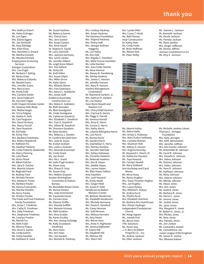Mrs. Kathryn Eckert Ms. Helen Eckinger Ms. Lori Egea Mrs. Elaine Eggers Ms. Jan Ehrhardt Ms. Katy Eldridge Mrs. Ellen Elsas Mrs. Henrietta S. Emack Ms. Martha Emmett Ms. Meesha Emmett Employment Screening **Services** Energen Corporation Mrs. Lisa Engel Ms. Barbara F. Epting Ms. Becky Estes Mrs. Rebecca Eubanks Ms. Beulah Evans Mrs. Jennifer Evans Mrs. Mary Evans Ms. Kristy Ezell Mrs. Caroline Ezelle Mrs. Gena Fadlevich Ms. Gerriann Fagan Faith Chapel Christian Center Ms. Vanessa Falls-Body Mrs. Mattie Feagin Ms. Tricia Felgner Ms. Aletha H. Fells Ms. Casi Ferguson Mrs. Dana Ferniany Mrs. Nancy Ferrell Ms. Sara Feuerlein Mr. Ed Fields Ms. Emily Files Mrs. Barbara Finkelstein Mrs. Kelley Fitzpatrick Dr. Kathleen Fix Ms. Heather Flaherty Ms. Linda Flaherty-Goldsmith Ms. Marcy Fleming Ms. Lela Flood Mr. Victor Flood Mr. Albert Folcher Mrs. Sara D. Folcher Mrs. Marsha Folsom Mr. Reginald Ford Mr. Rodney Ford Ms. Michele Forman Mrs. Marlea K. Foster Ms. Barbara Fowler Ms. Donna Francavilla Ms. Marsha Franklin Ms. Kerry Franks Ms. Kristen Frecker The Frank and Fred Friedman Family Foundation Mrs. Anise C. Friedman Mrs. Cathy O. Friedman Mrs. Sally Friedman Mrs. Stephanie Friedman Ms. Carolyn Froshin Ms. Rachel Fry Ms. Beth Fuller Ms. Monica Fuqua Mrs. Anna S. Gainer Ms. Linda Gaines Ms. Vickie Gamble Ms. Kathleen K. Gard

Ms. Susan Gardner Ms. Rebecca Garner Mrs. Cheryl Gary Mrs. Jeris Gaston Mrs. Susan Gaston Mrs. Anne Gauld Dr. Virginia D. Gauld Mr. Larry Gemmill Mrs. Jasmine Germany Mrs. Lee M. Gewin Ms. Jennifer Gilbert Ms. Leigh Anne Gilbert Mrs. Tosi Gilford Ms. Vicky Gill Ms. Andi Gillen Mrs. Susan Gilpin Mrs. Miller Girvin Ms. Katie Glenn Mrs. Melanie Glover Mrs. Fran Godchaux Mrs. Nancy C. Goedecke Mrs. Susan Goff Golden & Associates Construction LLC Mrs. Debra H. Goldstein Ms. Beth Gonzalez Ms. Blair Goodgame Ms. Cindy Goodgame Ms. Catherine Goodrich Mrs. Elizabeth C. Goodrich Mrs. Fran G. Goodrich Mrs. Gillian W. Goodrich Ms. Shannon Goodwin Mr. Deon Gordon Mrs. Rebecca J. Gordon Dr. Cynthia McCaleb Gore Mrs. Julia M. Goyer Ms. Evelyn Graham Mrs. Lisha Li Graham Mrs. Amanda Gramstad Ms. Cindy Grant Ms. Jan Grant Mrs. Pat L. Grant Ms. Gaile Pugh Gratton Ms. Diane Gray Mrs. Shaun D. Gray Ms. Susan Gray Mrs. Robbin Grayson Greater Birmingham Convention & Visitors Bureau Ms. Brendette Brown Green Ms. Donna Greene Mrs. Judy Greenwood Ms. Cassandra Greer Ms. Carmen Grier Ms. Eleanor Griffin Mrs. Pamela Griffith Mrs. Melanie Grinney Ms. Vikki Grodner Mrs. Dina Grubbs Ms. Karen Grubbs Mrs. Ann Jessup Gulledge Ms. Kelly Gruesbeck Gwathney Ms. Mary Gwin Mrs. Ann Haas Mrs. Lila Hackett Mrs. Brenda M. Hackney

Mrs. Lindsay Hackney Mrs. Susan Hackney The Hackney Foundation Mrs. Virginia Hackney Mrs. Penny Haft Mrs. Georgia Sullivan Haggerty Ms. Lori Haley Ms. Kim Hall Mrs. Majella C. Hamilton Mrs. Willa Yvonne Hamilton Ms. Lella Hamiter Mrs. Sara Fuller Hamlin Ms. Mara Hamner Ms. Stacey M. Handelong Ms. Shirley Hankins Mrs. Janice C. Hanson Ms. Jennifer Hanson Mrs. Mary R. Hanson Harbert Management Corporation Mr. Raymond Harbert, Jr. Mrs. Kathryn D. Harbert Ms. Lea Harbor Hare Wynn Newell and Newton LLP Mrs. Cheryl Kidd Harmon Mrs. Clarissa B. Harms Ms. Peggy S. Harrell Ms. Vanessa Harrell Mrs. Anna K. Harris Ms. Connie S. Harris Mrs. Kathy Harris Ms. Latonia Billingsley Harris Ms. Lois Harris Ms. Renita Harris Ms. Sandra Harris Ms. Gwendolyn S. Harry Mrs. Penney Hartline Ms. Jennifer Hatchett Mrs. Ashley Hattaway Ms. Christine Hawkins Ms. Deborah Hawkins Mrs. Ann B. Hayes Mrs. Debbie Hayes Mrs. Lauren Hayes Ms. Blair Hayes-Sellers Amy Hazelton Mrs. Leah Hazzard Ms. Emily Heide Mrs. Ginger Held Ms. Susan P. Held Henderson & Walton Women's Center Ms. Berlean Henderson Ms. Elizabeth Henderson Mrs. Rhonda Hennessy Mrs. Paula D. Hereford Ms. Casey Herman Mrs. Gail Herman Mrs. Melissa Herndon Ms. Amy Heslin Mrs. Ronne Hess Mrs. Anne H. Hightower Ms. Jessica Hightower Dr. Elaine Hill Ms. Elizabeth Hill Ms. Melissa Hill Mrs. Sherri Hill

Mrs. Lynda Hiller Mrs. Carey T. Hinds Ms. Beth Hinson Hoar Construction Dr. Kathy Hoar Ms. Cindy Hodo Mr. Brian Hoffman Ms. Allison Hoit Mr. Peter Holby

Ms. Jeanne L. Jackson Mr. Kenneth Jackson Ms. Nicole Jackson Ms. Pamela Jackson Ms. Mara Jambor Mrs. Ginger Jefferson Ms. Denise Jeffries Jemison Investment Co Inc Ms. Amy E. Jemison



Ms. Valerie Holley Ms. Debra Hollis Mrs. Krista S. Holloway Mrs. Mary Evelyn Holloway Mrs. Camelia Holmes Mrs. Shannon Holt Ms. Sidney O. Hoover Mrs. Virginia Hornsby Mr. Heyward C. Hosch, III Ms. Katherine Houston Ms. Toya Howard Ms. Carolyn Howell Ms. Mary Hubbard Ann Huckstep and Carol Misner Ms. Alicia Huey Ms. Nancy Hughes Mrs. Tessa Thrasher Hughes Mrs. Jan Hughey Mrs. Laura Hulsey Mrs. Mildred E. Hulsey Ms. Andria Hurst Ms. Phyllis Hurst Mrs. Elizabeth Hutchins Ms. Barbara Ann Hutchinson Mrs. Orlean Hydinger Independent Presbyterian Church Ms. Margi Ingram Ms. Jeanell Irish Ms. Berne Irwin ITAC Solutions Ms. Karen Ivey J. H. Berry & Gilbert Property Co. , Inc. Ms. Andrea Jackson Ms. Ellen Jackson

Ms. Michelle Jenkins-Utomi Thomas E. Jernigan Foundation Mrs. Kylie Jernigan Mrs. Kelli Jetmundsen Mrs. Jennifer Joffrion Mrs. Ann Gunter Johnson Ms. Antoinette W. Johnson Ms. Carol R. Johnson Mrs. Danella A. Johnson Mrs. Debra Johnson Ms. Dolores Johnson Mrs. Helen Johnson Ms. Ilene R. Johnson Ms. Kathleen Johnson Ms. Misty Johnson Mrs. Valerie Johnson Ms. Wendy Johnson Ms. Alesia Jones Mrs. Ann Jones Ms. Azaline Jones Ms. Barbara B. Jones Ms. Gloria C. Jones Mr. Jerome Jones Ms. Jordan Jones Ms. Jylon Jones Mrs. Margaret D. Jones Mr. Robert A. Jones, Jr. Mrs. Mickey Jones Ms. Nina Jones Mrs. Pamela Jones Ms. Jori Jordan Ms. Cassandra Joseph Ms. Comedienne Joy Junior League of Birmingham Ms. Susan H. Justice Mrs. Bhavani Kakani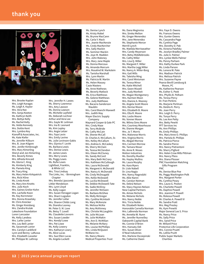

Mrs. Brooke Kaplan Mrs. Leigh Karagas Ms. Leigh A. Kaylor Mrs. Vera Kee Mrs. Sonja Keeton Ms. Kathryn Keith Mrs. Bettye Kelly Ms. Rachel Kelly Ms. Velda Kennedy Mrs. Dottie Kent Mrs. Lymbra Key Kianoff & Associates, Inc. Ms. Kate Kiefer Ms. Jennifer Kilburn Mrs. B. Joan Kilgore Mrs. Jenifer Kimbrough Mrs. Mary Kimerling Sheryl and Jon Kimerling Mrs. Beverly Kimes Mrs. Alfreda Kincaid Ms. Gloria C. King Ms. Kimberly King Ms. Pamela King Mr. Tracy King Ms. Mary Helen Kirkpatrick Mrs. Ricki Kline Ms. Linda Knott Ms. Mary Ann Knotts Mrs. Julie Koch Mrs. Gaines Grelier Kohn Mrs. Lachelle Koon Ms. Kay Kornmeier Mrs. Donna Kraselsky Mr. Chris Kreicker Ms. Ginger Kreisberg Mrs. Zandra Krulak Lakeshore Foundation Loren Lancaster Ms. Kelly Landess Mrs. Larke Lanier Mrs. Lou Bell Lanier Ms. Savannah Lanier Mrs. Carolyn Lankford Lynn and Benny LaRussa Mrs. Elizabeth Lasseter Mr. Philippe W. Lathrop

Mrs. Jennifer H. Lawes Ms. Sherry Lawrence Mrs. Amy Lawson Ms. Donna Lawson Ms. Michelle Layfield Ms. Deborah Lechner Arthur and Vera Lee Mrs. Gayle W. Leitman Mrs. Ina B. Leonard Ms. Kim Lepley Mrs. Angie Letzer Mrs. Faye Levin Mrs. Emily Levine Ms. Julie Levinson-Gabis Mrs. Glyniss F. Levitt Ms. Barbara Lewis Mrs. Denise Lewis Mr. James Lewis Mrs. Merry Lewis Ms. Peggy Lewis Ms. Rufie Lewis Lightfoot, Franklin, & White LLC Mrs. Tina Lindsay The Links, Inc. - Birmingham Chapter Mrs. Brenda Lipscomb Littler Mendelson Mrs. Lynn Lloyd Ms. Kelly Logan Mrs. Susan Henagan Logan Mrs. Sharri Logsdon Ms. Jennifer Lollar Mrs. Sharon Childs Long Ms. Diandra Looney Mr. Peter S. M. Love Ms. Betsy T. Lovell Ms. Claudette Lovvorn Mrs. Susan Lowder Mrs. Kendyl Lowe Mrs. Pat Lowe Ms. Kelly Lowery Mrs. Katharyn Lowry Ms. Alice Lucas Mrs. Sue Ellen Lucas Ms. Angela Luckett

Ms. Denise Lynch Ms. Kristy Mabel Ms. Brynne MacCann Ms. Carla Y. Mack Mrs. Jeanie MacKenzie Ms. Cindy MacKercher Mrs. Sally Mackin Ms. Sommer Mackin Ms. Joye M. Madden Mrs. John Maloney Mrs. Mary Jane Maple Ms. Donna Marcoux Ms. Amanda Marcum Mrs. Rosalind W. Markstein Ms. Tanisha Marshall Mrs. Lynn Martin Ms. Patricia W. Martin Ms. Helen Massey Casie Masters Ms. Anne Mathews Ms. Beverly Matlock Ms. Erica Matthews Ms. Gelene Matthews Mrs. Judy Matthews Ms. Bacarra Sanderson Mauldin Mrs. Carol Bianchi Maxwell Mrs. Judith May Mayer Electric Supply Company Maynard Cooper & Gale PC Mrs. Cindy Maze Ms. Terry McBride Ms. Cathy McCain Ms. Sheree McCall Dr. Charles A. McCallum, Sr. Mrs. Kelley McCallum Mrs. Andrea G. McCaskey Ms. Sherry McClain Ms. Teresa McClendon Mrs. Eileen McCluney Ms. Sandy McCord Mrs. Mary Beth McCrary Mrs. Kathleen McCullough Mrs. Laura McDonald Ms. Margaret A. McDonald Mrs. Nancy A. McDonald Ms. Cindy McDougald Mrs. Kellie McDowell Ms. Lucilia McDowell Ms. Debbie McDowell-Tate Ms. Sadie McElroy Ms. Jennifer McEwen Ms. Barbara McGhee Ms. Molly McGregor Mrs. Cynthia McIntosh Ms. Mary McKenzie Ms. Melissa McKie Ms. Amy McKinney Mrs. Christie McLaughlin Ms. Julie McLean Ms. Julie McMakin Mrs. Ann D. McMillan Ms. Melanie McNary Mrs. Louise McPhillips Mrs. Linda McQueen McWane Inc. Ms. Nancy Means Medical Properties Trust

Ms. Dana Meginniss Mrs. Sireka Melton Ms. Ginger Menendez Mrs. Jane Menendez Ms. Stephanie Mercer Merrill Lynch Ms. Matilda Merriweather Mrs. Candy Meyerson Mrs. Betsy Middlebrooks Ms. Cathy Miller Mrs. Lisa Q. Miller Ms. Margaret F. Miller Mrs. Martha Legg Miller Ms. Nancy A. Miller-Borg Mrs. Gail Mills Ms. Taleisha Ming Mrs. Carol Minisman Ms. Teresa Minor Ms. Katie Mitchell Mrs. Gwen Mizzell Mrs. Judy Monheit Ms. Megan Montgomery Mrs. Karmen Moon Mrs. Dianne A. Mooney Ms. Angela Scott Moore Mrs. Denise Moore Mrs. Elizabeth B. Moore Mrs. Elta R. Moore Mrs. Leslie Moore Ms. Vonner Moore Ms. Wilma Sims Moore Mrs. Courtney Moorhouse Ms. Dianne Morgan Mrs. Jo T. Morris Mrs. Malonese Morris Mrs. Virginia Morris Ms. Abigail Morrow Mrs. Carmen Morrow Ms. Tamara Moser Ms. Anne R. Moses Motion Industries Ms. Dorothy Mueller Ms. Hayley Mullins Ms. Laura Murphy Ms. Kara Myers Dr. Lisle Nabell Dr. Lina Nagia Mrs. Nancy Nagrodzki Ms. Allie Nanni Ms. Carolyn Neiman Ms. Debra Nelson Ms. Stacy Haynes Nelson New Capital Partners Ms. Aimee Nichols Ms. Melanie Nichols Mrs. Nancy Noble Mrs. Tricia Noble Ms. Elizabeth Noles Honorable Carnella Norman Mrs. LaBrenda Norman Ms. Annetta W. Nunn Ms. Jennifer Nunnelley Oakworth Capital Bank Ms. Connie O'Brien Mrs. Hansatu Odi Mrs. Susan Oliver O'Neal Industries Mrs. Marlene Osczepinski Ms. Catherine Owen

Ms. Frances Owens Mrs. Gunter Owens Ms. Cassandra Page Ms. Cynthia Page Mrs. Dorothy D. Pak Ms. Victoria Palefsky Ms. Jocelyn Bradley Palmer Ms. Julie A. Palmer Mrs. Lynlee Wells Palmer Ms. Penny Parham Mrs. Kathy Durkee Park Ms. Linda Parson Ms. Lenora W. Pate Mrs. Madison Patrick Mrs. Melissa Patrick Mrs. Suzanne Payne Pearce Bevill Leesburg & Moore, PC Ms. Katherine Pearson Ms. Esther S. Peek Mrs. Phyllis B. Pelham Ms. Teresa Percy Dr. Fran Perkins Ms. Marjorie Perlman Ms. Deidra K. Perry Ms. Joan Perry Mrs. Leigh D. Perry Ms. Tonya Perry Ms. Lee Ann Petty Mrs. Betty Pewitt PFT Services Inc Ms. Ann Phillips Ms. Emily Phillips Mrs. Mary Anne O. Phillips Mrs. Pamela B. Phillips Ms. Patricia Pierce Ms. Sandra Pierce Mrs. Nancy Pietrantoni Ms. Sherry Pigford Mrs. Helen Crow Mills Pittman Mrs. Nancy Pless Mrs. Diana Plosser PNC Foundation Matching Gifts Program PNC Ms. Denise Blue Poe Ms. Peggy Washington Polk Mrs. Margaret Porter Ms. Cynthia Posey Mrs. Laura G. Poston Ms. Charlotte Powell Ms. Daphne Powell Mrs. Jeanine P. Powell Ms. Rolessa Powell Mr. Charles A. Powell VI Ms. Sandra Pratt Mrs. Meg Presley Ms. Kym Prewitt Major General Lee S. Price Ms. Nancy Price Ms. Sally Price Mrs. Sand Price Mr. Willard Price Protective Life Corporation Mrs. Connie Pruett Ms. LeElla Pruitt Publix Super Markets Charities

Mrs. Faye D. Owens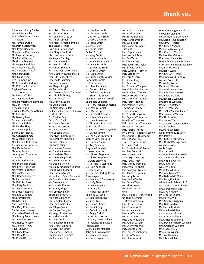Claire and Jimmy Puckett Mrs. Evelyn Puckett Honorable Teresa Tanner Pulliam Ms. Tamara Purdie Ms. Patricia Raczynski Mrs. Peggy Ragland Mrs. Valerie Ramsbacher Ms. LaVerne Ramsey Mrs. Rena Ramsey Ms. Gloria Randolph Ms. Megan Randolph Mrs. Carol J. Ratcliffe Mrs. Carolyn S. Ratliff Mrs. Carolyn Ray Mrs. Laura Read Red Diamond Inc Ms. Leshundra Reddock Ms. Rebecca Redmond Regions Financial Corporation Ms. Patricia T. Reid Ms. Jeannie Relford Mrs. Mary Romano Rembert Ms. Jen Remick Renasant Bank Revenue Discovery Systems Ms. Eve Rhea Ms. Beverly Rice Dr. Martha Anne Rich Ms. Alyson Riddle Ms. Felisha Riley Mr. Dennis Ripple Sarah Beth Ritchey Ms. Carleton Rivers Ms. Atisthan Roach Mrs. Carla S. Roberson Councilor Jay Roberson Mrs. Maria Robert Ms. Amy Roberts Johnny and Carolanne Roberts Ms. Elizabeth Roberts Mrs. Diane Robertson Mrs. Eva T. Robertson Ms. Yvette Robertson Mrs. Ashley Robinett Mrs. Donna Robinett Ms. Marsha Robins Ms. Kelli Robinson Mrs. Kitty Robinson Mrs. Wendy Rodde Mr. Bruce F. Rogers Mrs. Kim J. Rogers Ms. Starr Rogers Ms. Kay Roller April Rollins-Kyle Mrs. Mary P. Rooney Cantor Jessica Roskin Honorable Katrina Ross Mrs. Bunny Rotenstreich Mrs. Kathleen Roth Mrs. Nancy Rousso Ms. Jennifer Rowe Royal Cup, Inc. Mrs. Lana Royal Mrs. Mara Russell Ms. Rachel Russell

Mrs. Lisa H. Rutherford Ms. Meaghan Ryan Mrs. Jeanene C. Salze Ms. Carol Samuel Mrs. Mary Forman Samuels The Sanders Trust Lynn and Harlan Sands Mrs. Margie Sanford Chris and Valerie Sanner Ms. Angela Santiago Mrs. Betty Sartain Ms. Leah F. Scalise Ms. Amber Scanlan Mrs. Rachael Schexnailder Mrs. Catherine Ann Schilleci Mrs. Rita Schoenherr Mrs. Stella Schreiber Ms. Julie Schweer Ms. Margo Scoggins Ms. Tracie Scott Mrs. Suzanne Scott-Trammell Mrs. Virginia Scruggs Ms. Carrie Self Ms. Jeanine Sellers Ms. Julie Sellers Ms. Mary Noel Sellers Sellers Richardson Holman & West LLC Dr. Bisakha Sen ServisFirst Bank Mrs. Joyce Serwitz Ms. Stacie Sessions Mrs. Kate Sexton Mrs. Jacque Shaia Mrs. Myra Shamburger Ms. Elizabeth Sharman Ms. Lisa J. Sharp Ms. Trinket Shaw Mrs. Jeanne Shearer Ms. Sandra Shearer Ms. Charletta Sheey Mrs. Mary Shepherd Mrs. Sharon Sherrod Ms. Debbie Shevin Ms. Emily Amberson Shuford Mrs. Tanya Shunnara Mrs. Barbara Siegal Mr. and Mrs. David Silverstein Ms. Brenda K. Simmons Ms. Susan Simon Mrs. Jackie Simons Mr. Sanjay Singh Mrs. Lindsay Sinor Sirote & Permutt, PC Ms. Alice J. Skinner Ms. Jennifer Skjellum Mrs. Stephanie Sklar Ms. L'Tryce Slade Ms. Sunny Slaughter Ms. Leigh Sloss-Corra Ms. Aishah Smith Mrs. Beth Smith Mrs. Beverley H. Smith Mrs. Brunetta Smith Dr. Carol Ann Smith Mrs. Catherine Smith Ms. Christian N. Smith Ms. Christina Smith

Mrs. Debbie Smith Mrs. Graham Smith Mr. Hatton C. V. Smith Mr. Jacob L. Smith Mrs. Jane Smith Mr. Jerry Smith Ms. Leslie Smith Dr. Lori A. Smith Ms. Mary Smith Ms. Melinda Smith Ms. Monica Whiting Smith Mrs. Natalie Smith Ms. Samantha Smith Ms. Sydney Smith Mrs. Vicki Smith Ms. Suzan Smith-Doidge Honorable Carole Smitherman Mrs. Jennifer Sneed Ms. Debra J. Snider Ms. Ceil Jenkins Snow Ms. Stephanie Snyder Dr. Virginia Lolley Socolof Dr. Maggie Somerall Mrs. Mary Frances Somerall Mrs. Wendy Soniat Mrs. Wynne Speir Mrs. Meredith Spencer Ms. Yolanda Spencer Ms. Uma Srivastava Ms. Elizabeth St. Charles St. Francis of Assisi St. Vincent's Health System Ms. Carol Standifer Mrs. Ann Marie Stanford Starnes Davis Florie LLP Mrs. Connie Stein Ms. Amy Steindorff Stephen Bradley & Associates LLC Mrs. Allison Stephens Ms. Allison Stephens Mr. Craig Stephens Ms. Patricia R. Stephens Mrs. Erin Kendrick Stephenson Mrs. DeLois Sterling-Penn Sterne Agee Ms. Jennifer C. Stevenson Ms. Jody Stewart Mrs. Holly H. Stiles Mrs. Kay Still Ms. Margaret Stinnett Dr. Linda J. Stone Ms. Susie Hall Stover Mr. Rich Street Mrs. Sarah Streety Ms. Debi Strevy Ms. Beth Strickland Ms. Peggy Striplin Mrs. Susan C. Stutts Mrs. Mary Lee W. Sullivan Mrs. Yolanda N. Sullivan Farah Sultan Surgical Care Affiliates John and Gwen Swain Ms. Jennifer F. Swain Ms. Karen Swain

Ms. Karlotta Swain Ms. Katrina Swain Ms. Becky Swindall Mrs. Marda Sydnor Ms. Lucia Tabb Mrs. Mary Lou Taber Tacala LLC Mrs. Peppi Talley Mrs. Melva J. Tate Ms. Bea Tatum Dr. Brenda Taylor Mrs. Edwina M. Taylor Ms. Emilee Taylor Mrs. Eugenia H. Taylor Mrs. Lora Terry Ms. Lora A. Terry Ms. Vivian Terry Ms. Kim Tew Ms. Elizabeth Thagard Mrs. Callen Bair Thistle Ms. Ann Beck Thomas Mrs. Ann Cade Thomas Ms. Carolyn J. Thomas Mrs. Patsy Thomas Mrs. Valerie Thomas Thompson Family Foundation Ms. Anne Thompson Ms. Dejauna Thompson Hamilton Thompson Keith and Linda Thompson Ms. Sarah Thomson Mrs. Teresa Thorne Dr. Denyse P. Thornley-Brown Ms. Sandra B. Thurmond Ms. Linda O. Tilly Timeless Interiors Inc. Ms. Helen Todd Ms. Tracie Todd-Coleman Ms. Fern Tomisek Mrs. Stacey Torch Town Square Realty Mrs. Kathy Tracy Mrs. Shirley Trammell Mrs. Jean Treuthart Mrs. Margaret Troiano Ms. Jennifer Tsantes Mrs. Amy Tucker Mrs. Jackie Tucker Ms. Donna Tyler Ms. Gloria Tyson Ms. Shelia Tyson UAB Ms. Melinda B. Underwood United Fellowship Breakfast Forum Mrs. Susan Upton Mrs. Connie W. Urist Ms. Natalie Vann Mrs. Ann Vaphiades Ms. Eva S. Vare Mrs. Libba Vaughan Ms. Audrey Vaughn Ms. Sherry Vaughn Mrs. Sharon Venz Ms. Frances Verstandig Ms. Vicki Victory Mrs. Sandra Vinik

Honorable Virginia A. Vinson Vowell & Goldsmith Vulcan Materials Company Ms. Karen K. Wadlington Ms. Larry M. Wafer Mrs. Susan Wagner Ms. Laura Wainwright Mrs. Carol H. Waites Ms. Montise Waldrep Mrs. Jeannine Walker Honorable Stephen Wallace Attorney Twala Grant Wallace Mrs. Frances Wang Ms. Reilly Ward Mrs. Sharon H. Ward Ms. Linda Ward-Sunday Warren Averett LLC Ms. Ashley Warren Ms. Susan Warren Mrs. April Washington Mrs. Candace J. Wason Mrs. Laura Watkins Ms. Rachel E. Watkins Mrs. Rhoda Watkins Ms. Kristen Watson Mrs. Tyler Watson Ms. JaMia Watson-Jenkins Mrs. Jeanette Watters Mrs. Holli Watts Mrs. Jenny Watts Mrs. Sally Broatch Waudby Mrs. Liz Weber Ms. Maria Webster Weil Family Foundation Mrs. Pat Weil Mrs. Katie Suttle Weinert Mrs. Rachel Weingartner Welch Hornsby Wells Fargo Mrs. Jan Wells Ms. Romika Bridges Wells Mrs. Janet Wertheimer Mrs. Virginia Wesley Ms. Kim West Western Market Ms. Callie Whatley Mrs. Ann Bailey White Mrs. Deborah F. White Mrs. Forsyth White White Arnold & Dowd P. C. Ms. Jessica D. Whitehead Mrs. Sarah Whiteside Ms. L. K. Whitney Dr. Deborah Wiatrak Ms. Mary O. Wier Mrs. Shelly S. Wiggins Mrs. Beth Wilder Ms. Mechelle Wilder Ms. Adeline Williams Ms. Antonia Williams Mrs. Cheryl Williams Ms. Christine Williams Mrs. DeValerie Harry Williams Mrs. Gretchen Williams Ms. Iris Williams Ms. Janice Williams Mr. Joel Williams Ms. Libba Williams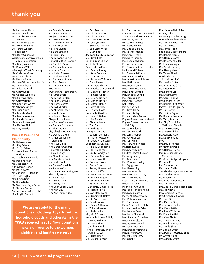Ms. Mary A. Williams Ms. Regina Williams Mrs. Samika Peterson Williams Mrs. Wanda Williams Mrs. Yorke Williams Dr. Martha Williams Thompson Mrs. Mary Williamson Williamson, Martin & Brooke Family Foundation Mrs. Ginny Willings Ms. Rhonda Willis Wilmington Trust Company Ms. Christine Wilson Ms. Lynda Wilson Ms. Paula Windle Ms. Joan Witherspoon-Norris Ms. Janet Wixson Mrs. Alice Womack Ms. Cindy Wood Ms. Odessa Woolfolk Mrs. Sally Worthen Ms. Cathy Wright Mrs. Courtney Wright Ms. Whitney Wright Mrs. Judi Wurm Mrs. Brenda Wyatt Mrs. Danna Yarmowich Mrs. Laurie Yearout Ms. Anne R. Yuengert Mrs. Melissa Zivitz Ms. Amy Zwarico

### **Purse & Passion St. Clair County**

Ms. Helen Adams Mrs. Kay Adams Mrs. Sonja Adams Alabama Power Eastern Division Ms. Stephanie Alexander Ms. Dellaine Allen Ms. Jeanette Allen Anonymous Donor Ms. Margie Argo Ms. Johnnie H. Atchison Dr. Susan Bagby Mrs. Karen Bain Ms. Diane Baker Ms. Wandalyn Faye Baker Mr. Michael Barber Barnett Jones Wilson, LLC Mrs. Phyllis Barrett

Mrs. Karen Barwick Benjamin Moore & Co Ms. Jo Ann Benton Mrs. Genelle H. Berry Ms. Anne Bethea Ms. Faye Bivens Ms. Sara Beth Blair Ms. Julia Bline Mrs. Lee Anne Bowen Honorable Mike Bowling Ms. Sarah S. Brand Ms. Christal Brannon Mrs. June Brascho Mrs. Helen Braswell Mrs. Dolores Brooks Ms. Andrea H. Brown Ms. Beth Brown Ms. Cindy Burleson Butts to Go Wynter Byrd Photography Ms. Karen Byers Mrs. Teresa Carden Mrs. Joan Cardwell Mrs. Kathy Carter Mrs. Lydia Carter Mrs. Miranda Cater Mrs. Vicki Cater Mrs. Evelyn Chaney Chapel in the Pines Mrs. Bonnie Chasteen Ms. Patricia Christians Mr. Billy Church City of Pell City, Alabama Ms. Donna Clawson Mrs. Meg Williamson Clements Mrs. Kaye Cloud Mrs. Barbara Cochran Ms. Cynthia Cochran Ms. Cleo Coley Ms. Neva Conway Mrs. Courtney Cook Ms. Linda Cook Ms. Renee Corneluis Ms. Annette Cox Mrs. Jeanette Cunningham The Daily Home Ms. Kelly Dale Mrs. Sonia Dale Mrs. Emily Davis Mrs. Jean Speer Davis Mrs. Ann Day Mrs. April Autrey Deal

Ms. Brenda Barrows

**We are grateful for the many donations of clothing, toys, furniture, household goods and other items the YWCA received in 2015. Your donations make a difference to the women, children and families we serve.**

Mr. Gary Deason Mrs. Linda Deason Mrs. Linda DeMarco Mrs. Dianne DeShazer Mrs. Cheryl Doyle Ms. Suzanne Durham Ms. Jan Easterwood Ms. Quay Edge Jack and Candy Edmiston Mrs. Joy Elliott Bill and Dana Ellison Ms. Judy Ellison Dave and Lori Elmore Mrs. Sandra Embry Mrs. Anna Emerick Ms. Dianna Enoch Mrs. Jeannine T. Farmer Ms. Carol Feeser Mrs. Barbara Fincher First Baptist Church South Mrs. Dianne B. Fisher Ms. Pamela A. Foote Mrs. Deloris Frazier Mrs. Marion Frazier Mrs. Marge Fricker Mrs. Merrill Friday Mrs. Loretta Frost Honorable Alan Furr Ms. Helen F. Gable Ms. Lisa Gaddis Ms. Rhonda Gann Mr. Tom Gant Mrs. Jeris Gaston Dr. Virginia D. Gauld Ms. Jeriann Germany Mrs. Memory Gleason Mrs. Debra H. Goldstein Goodgame & Co. Inc. Ms. Ashley Goodgame Ms. Blair Goodgame Ms. Cindy Goodgame Mrs. Barbara Goodwin Ms. Laura Gossett Ms. Caroline Gover Ms. Carrie Goza Ms. Audrey Greenwood Mrs. Kandi Griffin Mrs. Brenda M. Hackney Mrs. Joanna Hagan Mrs. Suzanne Hanley Ms. Elizabeth Harris Mr. and Mrs. Elmer Harris Mrs. Teresa Harris Mr. Matt Hazelwood Mrs. Jennifer R. Helms Mrs. Jo Ann Helms Ms. Pam Hendrix Mrs. Paula D. Hereford Mr. William Hereford Mrs. Judy Hicks Hill, Hill & Gossett Honorable James E. Hill, Jr. Ms. Brenda Hillman Mrs. Marie Hines Mr. Anthony Hollis Honda Manufacturing of Alabama, LLC Ms. Susan Hood Mrs. Michal Hopson

Ms. Ellen House Elmer B. and Glenda S. Harris Legacy Endowment Plan Mrs. Jenny Houze Ms. Carolyn Howell Ms. Fayne Howle Ms. Linda Huckaby Ms. Rachel Hughes Mrs. Carol Hyche Mrs. Doris Ingram Ms. Alyson Jackson Ms. Nicole Jackson Ms. Elizabeth Stuart Jacobs Mr. Richard F. Jacobs Ms. Eleanor Jeffords Mrs. Susan Jenkins Mrs. Ann Gunter Johnson Mrs. Beth Jones Mrs. Brenda Jones Mrs. Thelma O. Jones Mrs. Nancy Jordan Mrs. Bridgett Junkin Ms. Lori Junkins Mrs. Carol Kasper Kell Realty Mrs. Susan Kell Ms. Kaye Kelley Ms. Mary Kelley Ms. Mary Alice Kenley Kilgroe Funeral Home - Leeds Kilgroe Funeral Home - Pell City Ms. Carol Kilgroe Ms. Laura Kinard Ms. Lori Knepper Ms. Pat Knepper Ms. Toni Knie Ms. Mary Ann Knotts Mr. Herb Kuntz Mrs. Sherry Kuntz Landmark Credit Union Mrs. Amy Landry Ms. Katie Lane Mrs. Deanna Lawley Ms. Peggy Lee Mrs. Renee Lilly Mrs. Jean Lincoln Mrs. Candace Lindsey Ms. Nancy Locklar Logan Martin Lake Fest, LLC Mrs. Mary Luker Magnolias Gift Shop Paul and Marie Manning Mrs. Sylvia Martin Mary's Mini Warehouse Mrs. Deborah Mattison Ms. Ellen Mayer Mays Bend Ladies Club Ms. Mary Nell McBrier Mrs. Nila McBrier Mrs. Hope McCarrell Mrs. Susan McClanahan Mrs. Lisa McClellan Mrs. Ada McConnell Ms. Susan McCrary Mrs. Brenda McDowell Mrs. Elsie McGowan Ms. Janice McGraw Metro Bank

Mrs. Jimmie Nell Miller Mr. Ray Miller Ms. Nancy A. Miller-Borg Honorable Robert Minor Ms. Alesia B. Mitcham Ms. Jo Mitchell Ms. Jamie Moon Eddie and Debbie Moore Ms. Debbie Morris Mrs. Norma Morris Ms. Dorothy Mueller Mr. Brian Muenger Mrs. Sandra Murray Mrs. Nancy Myer Ms. Teresa Noell Northside Medical Associates, P. C. Ms. Jessica Notar Mrs. Catherine Olive Ms. Latoya Orr Mrs. Lenora Orr Ms. Erin Palermo Ms. Carol Pappas Mrs. Sandra Parker Ms. Debbie Parmenter Partners By Design, Inc. Ms. Jan Parton Ms. Jo Ann Payne Ms. Blanche Pearson Ms. Vicky Pearson Pell City First United Methodist Church Mrs. Jane W. Perry Mrs. Joan Phillips Ms. Genesis Player Ms. Lisa Plemons PNC Mrs. Paula Pointer Mr. Matthew Pope Mrs. Helen J. Powell Publix Super Markets **Charities** Ms. Gloria Rodgers Raynor Mr. John Rea Red Diamond Inc Ms. JoAnn Reilly The Rhodes Agency -- Allstate Mrs. Sarah Rhodes Ms. Gwen Rich Mrs. Carla S. Roberson Mrs. Jan Roberts Mrs. Jackie Bertella Robinson Ms. Judy Royal Reverend Ava Rozelle Mrs. Stephanie Sawyer Ms. Judy Schiltz Mrs. Michele Seay Mrs. Jennifer Sellers Mrs. Virna Settle Mrs. Irene W. Sexton Ms. Erica Sheffield Mrs. Cara Shute Ms. Anne Simmons Ms. Phyllis Simpson Ms. Sandy Sims Mr. Donald Smith Mrs. Donna Trousdale Smith Mr. Wayne Smith Mrs. Jane F. Smith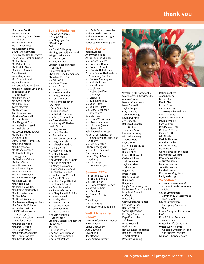Mrs. Janet Smith Ms. Mary Smith Steve Smith, Camp Creek Creations Mrs. Wanda Smith Ms. Suzi Sockwell Ms. Elizabeth Sorrell Southland Golf Carts St. Vincent's Health System Steve Ray's Bamboo Garden Ms. Liz Starnes Ms. Patsy Stevens Ms. Ruth E. Stevens Mrs. Carol Stewart Sam Stewart Ms. Kelley Stone Mrs. Susan Stovall Ms. Leah Stover Ron and Yolanda Sullivan Mrs. Fran Histed Summerlin Talladega Super Speedway Mrs. Pam Taylor Ms. Gaye Thoma Ms. Ellen Tims Town of Steele Ms. Nan Trice Trinity Industries Ms. Grace Troncalli Mrs. Jan Trotter Mrs. Margaret Truss Mrs. Isabella Trussell Mrs. Debbie Tuck Ms. Alyson Fuqua Tucker Ms. Donna Turner USAmeriBank Usrey Funeral Home, LLC Mrs. Carla Valdes Mrs. Kelly Vance Ms. Donna Verellen Ms. Elizabeth Hoyle Waggoner Ms. Barbara Wallace Ms. Mara Walls Ms. Allison Walsh Mr. Bill Weathington Ms. Elana Weems Mrs. Shirley Weems Mrs. Wendy Weisskopf Ms. Linda Wesson Mrs. Virginia West Ms. Michelle Whitley Mrs. Robyn Whittington Mrs. Caran Wilbanks Ms. Sarah Wilder Ms. Brandi Williams Mrs. DeValerie Harry Williams Mrs. Tammie Williams Mrs. Belinda Wilson WKW Erbsloeh North America, LLC Women on Mission, Cropwell Baptist Church Mrs. Debbie Wood Mrs. Dot H. Wood Dr. Shonda Wood Mrs. Regina Woodward Ms. Jennifer Worley Mrs. Brenda Wyatt

### **Santa's Workshop** Mrs. Wendy Adams

Mr. Ralph Ashley Mrs. Mary Lynn Bates BBVA Compass Belk Ms. Cyndi Billingsley Birmingham Quilter's Guild Bridgeworth Financial Mrs. Lela Boyd Ms. Kathy Brooks Bruster's Real Ice Cream Vestavia Ms. Crystal Burnett Cherokee Bend Elementary Church at Ross Bridge Ms. Gilda Coker Ms. Karen Crowe Mr. Marc Curles Mrs. Paige Daniel Ms. Suzanne Durham Mrs. Haley Edwards Mrs. Julie M. Ellis Mrs. Kelley Fitzpatrick FOOTMAD Mrs. JoAnn L. Fox Ms. LuCile Gibson Mrs. Lisha Li Graham Mrs. Terry T. Hamilton Ms. Susan Nettles Han Mrs. Kathryn D. Harbert **HealthSouth** Mrs. Key Hudson Mrs. Jennifer Irby Ms. Berne Irwin Mrs. Ann Gunter Johnson Ms. Leigh A. Kaylor Mrs. Sheryl Kimerling Mrs. Ricki Kline Ms. Mary Ann Knotts Mrs. Michelle Lax Mrs. Faye Levin Mrs. Virginia Gilbert Loftin Mrs. Roslyn Mannon Ms. Maggie McDonald Ms. Yawanna McDonald Ms. Dorothy H. Miller Mr. and Mrs. Ira Mitchell Ms. Anne R. Moses Mountain Chapel United Methodist Church Ms. Dorothy Mueller Ms. Annetta W. Nunn Mrs. Mary Anne O. Phillips Mr. Frank Powell Ms. Ashley Rhea Ms. Mary Robinson Mrs. Jackie Simons Ms. Jennifer Smith Ms. Debra J. Snider Mrs. Erin Kendrick Stephenson Sterling Capital Management Sterne Agee TAP Inc. Ms. Kellie Taylor Mrs. Ann Cade Thomas Mrs. Shirley Trammell Mrs. Janet Wallace

Mrs. Sally Broatch Waudby White Arnold & Dowd P. C. White Plume Technologies Mrs. Ruth Young Zonta Club of Birmingham

### **Social Justice**

Jerard Adams Anonymous Donor At-Risk and High Hopes Mr. Howard Bayless Ms. Katherine Bouma Ms. Robin L. Burrell Mrs. Brooke H. Coleman Corporation for National and Community Service Ms. Carlissa Cunningham Ms. Melodie Echols Mr. Mark Gaines Mr. CJ Glover Ms. Melina Goldfarb Ms. GiGi Hayes Ms. Cheryl Hill Ms. Tamika Holmes Mr. Doug Horst Ms. Jeniese Hosey Mrs. Mary R. Johnson-Butterworth Kristalyn Lee Mrs. Gayle W. Leitman Mrs. Roslyn Mannon Mrs. Linda McQueen Ms. Alana Miller Rabbi Jonathan Miller National Conference for Community and Justice of Alabama Mrs. Melissa Patrick PFLAG-Birmingham Ms. Lizabeth Reynolds Serve Alabama United Way of Central Alabama Mrs. Linda Verin Ms. Amanda Wilson

### **Summer CREW**

Mrs. Susan Bowman Mrs. Elna R. Brendel Mrs. Lisa Burton Mrs. Cora Brasfield Causey Mr. David Hufham Mrs. Ann Jones Mr. Thomas C. Logan PNC Tricia Pugh Mrs. Leah Saag Woodlawn Foundation, Inc.

### **Walk A Mile in Her Shoes®**

The ARC of Jefferson County Jim Atkinson Sonya Boatwright Alan Boutwell Bryant Bank Jack Bryant Mary Kathryn Bryant



Wynter Byrd Photography C & J Electrical Services LLC Adams Charlie Barnett Chenoweth Dana Cocarell Taylor Cooper Clay Dawkins Adrian Dunning Laura Dunning Jeff Eubanks Rebecca Eubanks Jeris Gaston Jonathan Goss Lindsay Hackney Mitchell Hackney Amanda Held Layne Held Sissy Hembree King Kyle Heslop Blake Hobbs Elizabeth Howard Carleen Johnson Josh Johnson Taylor Jordan Tucker Katy Roger King Brett Knight Benny LaRussa Blake Lary Benjamin Leach Levy's FIne Jewelry, Inc. Mr. William C. McDonald, IV Maggie McDonald Cliff Nail Rives Oliver OrthoSports Associates Ferlando Parker Bentley Patrick Yarbrough Peyton Ms. Page Poerschke Page Poerschke Jeff Powell Mandy Powell Rudi Quarles Ray & Poynor Properties Regions Financial Corporation Resolute Running

Melinda Sellers Jason Sellers Debbie Sher Martin Sher Robert Sher Carter Slappey Slate Barganier Building Christian Smith Mary Frances Somerall David Somerall Sam Sullivan Mrs. Melva J. Tate Ms. Lora A. Terry Callen Thistle Will Thistle Maddie Thomas Brandon Tucker Verizon Wireless Water Way White Plume Technologies Ms. Whitney Williams DeValerie Williams Jeffrey Williams Laura Williamson John Williamson Elizabeth Wilson Mrs. Jenna Wrightson Emily Yarbrough

### **YWoodlawn**

Alabama Department of Economic and Community Affairs City of Birmingham Community Development Block Grant City of Birmingham Emergency Solutions Grant Estelle Campbell Foundation PNC Mike & Gillian Goodrich Foundation Protective Life Corporation United Way of Central Alabama Emergency Food and Shelter Program Walmart -- Irondale Store